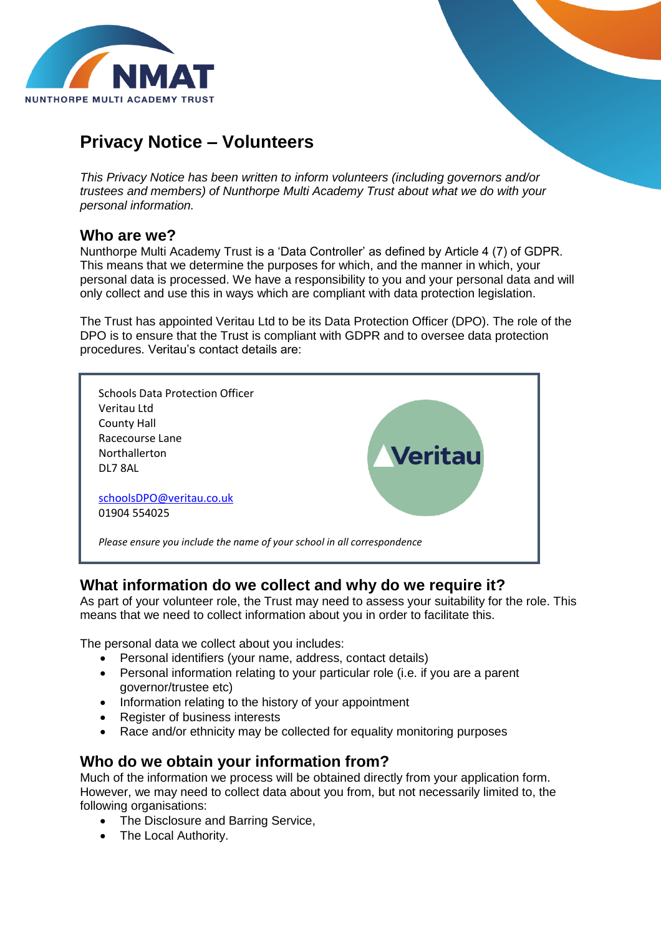

# **Privacy Notice – Volunteers**

*This Privacy Notice has been written to inform volunteers (including governors and/or trustees and members) of Nunthorpe Multi Academy Trust about what we do with your personal information.*

### **Who are we?**

Nunthorpe Multi Academy Trust is a 'Data Controller' as defined by Article 4 (7) of GDPR. This means that we determine the purposes for which, and the manner in which, your personal data is processed. We have a responsibility to you and your personal data and will only collect and use this in ways which are compliant with data protection legislation.

The Trust has appointed Veritau Ltd to be its Data Protection Officer (DPO). The role of the DPO is to ensure that the Trust is compliant with GDPR and to oversee data protection procedures. Veritau's contact details are:



### **What information do we collect and why do we require it?**

As part of your volunteer role, the Trust may need to assess your suitability for the role. This means that we need to collect information about you in order to facilitate this.

The personal data we collect about you includes:

- Personal identifiers (your name, address, contact details)
- Personal information relating to your particular role (i.e. if you are a parent governor/trustee etc)
- Information relating to the history of your appointment
- Register of business interests
- Race and/or ethnicity may be collected for equality monitoring purposes

### **Who do we obtain your information from?**

Much of the information we process will be obtained directly from your application form. However, we may need to collect data about you from, but not necessarily limited to, the following organisations:

- The Disclosure and Barring Service,
- The Local Authority.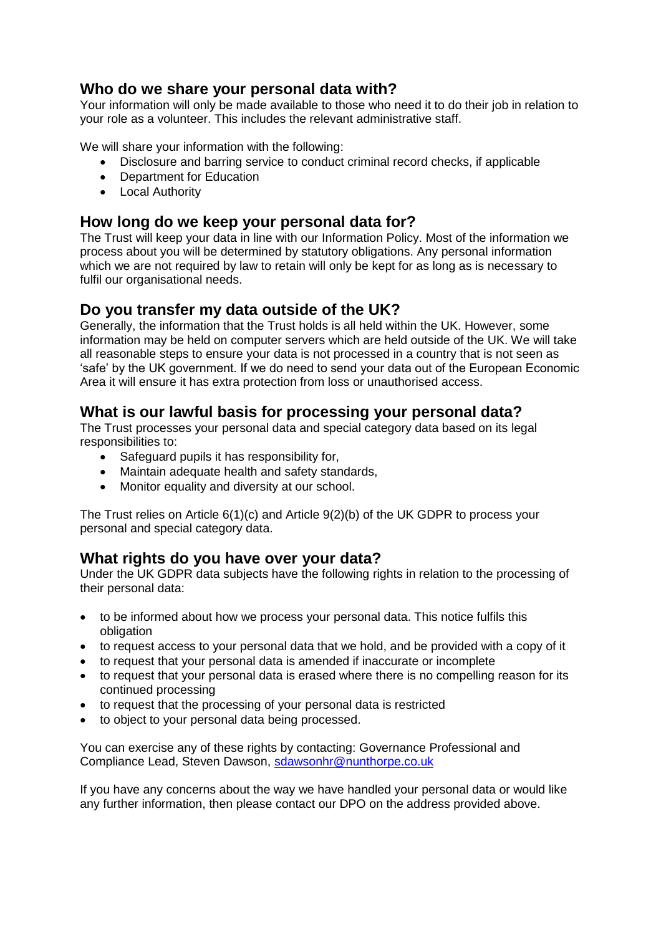## **Who do we share your personal data with?**

Your information will only be made available to those who need it to do their job in relation to your role as a volunteer. This includes the relevant administrative staff.

We will share your information with the following:

- Disclosure and barring service to conduct criminal record checks, if applicable
- Department for Education
- Local Authority

## **How long do we keep your personal data for?**

The Trust will keep your data in line with our Information Policy. Most of the information we process about you will be determined by statutory obligations. Any personal information which we are not required by law to retain will only be kept for as long as is necessary to fulfil our organisational needs.

### **Do you transfer my data outside of the UK?**

Generally, the information that the Trust holds is all held within the UK. However, some information may be held on computer servers which are held outside of the UK. We will take all reasonable steps to ensure your data is not processed in a country that is not seen as 'safe' by the UK government. If we do need to send your data out of the European Economic Area it will ensure it has extra protection from loss or unauthorised access.

## **What is our lawful basis for processing your personal data?**

The Trust processes your personal data and special category data based on its legal responsibilities to:

- Safeguard pupils it has responsibility for,
- Maintain adequate health and safety standards,
- Monitor equality and diversity at our school.

The Trust relies on Article 6(1)(c) and Article 9(2)(b) of the UK GDPR to process your personal and special category data.

## **What rights do you have over your data?**

Under the UK GDPR data subjects have the following rights in relation to the processing of their personal data:

- to be informed about how we process your personal data. This notice fulfils this obligation
- to request access to your personal data that we hold, and be provided with a copy of it
- to request that your personal data is amended if inaccurate or incomplete
- to request that your personal data is erased where there is no compelling reason for its continued processing
- to request that the processing of your personal data is restricted
- to object to your personal data being processed.

You can exercise any of these rights by contacting: Governance Professional and Compliance Lead, Steven Dawson, [sdawsonhr@nunthorpe.co.uk](mailto:sdawsonhr@nunthorpe.co.uk)

If you have any concerns about the way we have handled your personal data or would like any further information, then please contact our DPO on the address provided above.